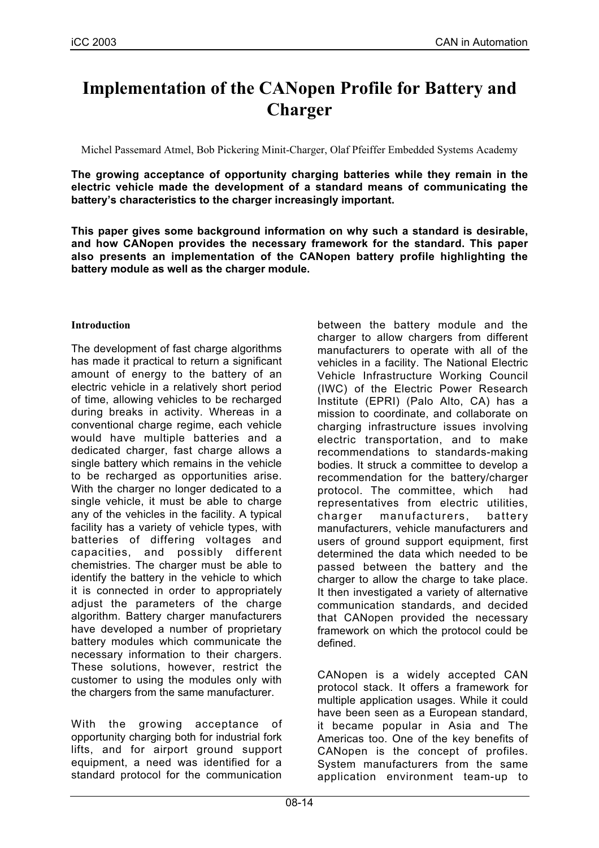# **Implementation of the CANopen Profile for Battery and Charger**

Michel Passemard Atmel, Bob Pickering Minit-Charger, Olaf Pfeiffer Embedded Systems Academy

**The growing acceptance of opportunity charging batteries while they remain in the electric vehicle made the development of a standard means of communicating the battery's characteristics to the charger increasingly important.**

**This paper gives some background information on why such a standard is desirable, and how CANopen provides the necessary framework for the standard. This paper also presents an implementation of the CANopen battery profile highlighting the battery module as well as the charger module.**

## **Introduction**

The development of fast charge algorithms has made it practical to return a significant amount of energy to the battery of an electric vehicle in a relatively short period of time, allowing vehicles to be recharged during breaks in activity. Whereas in a conventional charge regime, each vehicle would have multiple batteries and a dedicated charger, fast charge allows a single battery which remains in the vehicle to be recharged as opportunities arise. With the charger no longer dedicated to a single vehicle, it must be able to charge any of the vehicles in the facility. A typical facility has a variety of vehicle types, with batteries of differing voltages and capacities, and possibly different chemistries. The charger must be able to identify the battery in the vehicle to which it is connected in order to appropriately adjust the parameters of the charge algorithm. Battery charger manufacturers have developed a number of proprietary battery modules which communicate the necessary information to their chargers. These solutions, however, restrict the customer to using the modules only with the chargers from the same manufacturer.

With the growing acceptance of opportunity charging both for industrial fork lifts, and for airport ground support equipment, a need was identified for a standard protocol for the communication

between the battery module and the charger to allow chargers from different manufacturers to operate with all of the vehicles in a facility. The National Electric Vehicle Infrastructure Working Council (IWC) of the Electric Power Research Institute (EPRI) (Palo Alto, CA) has a mission to coordinate, and collaborate on charging infrastructure issues involving electric transportation, and to make recommendations to standards-making bodies. It struck a committee to develop a recommendation for the battery/charger protocol. The committee, which had representatives from electric utilities, charger manufacturers, battery manufacturers, vehicle manufacturers and users of ground support equipment, first determined the data which needed to be passed between the battery and the charger to allow the charge to take place. It then investigated a variety of alternative communication standards, and decided that CANopen provided the necessary framework on which the protocol could be defined.

CANopen is a widely accepted CAN protocol stack. It offers a framework for multiple application usages. While it could have been seen as a European standard, it became popular in Asia and The Americas too. One of the key benefits of CANopen is the concept of profiles. System manufacturers from the same application environment team-up to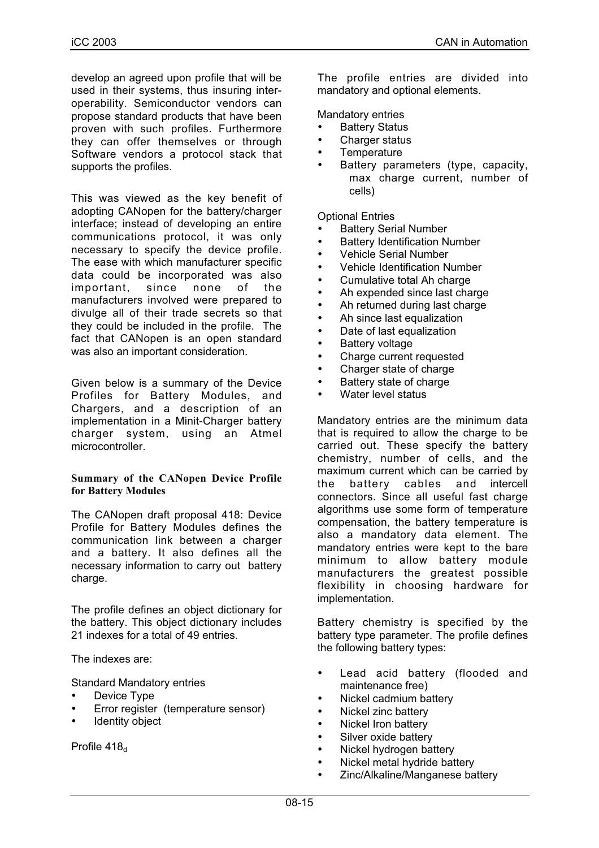develop an agreed upon profile that will be used in their systems, thus insuring interoperability. Semiconductor vendors can propose standard products that have been proven with such profiles. Furthermore they can offer themselves or through Software vendors a protocol stack that supports the profiles.

This was viewed as the key benefit of adopting CANopen for the battery/charger interface; instead of developing an entire communications protocol, it was only necessary to specify the device profile. The ease with which manufacturer specific data could be incorporated was also important, since none of the manufacturers involved were prepared to divulge all of their trade secrets so that they could be included in the profile. The fact that CANopen is an open standard was also an important consideration.

Given below is a summary of the Device Profiles for Battery Modules, and Chargers, and a description of an implementation in a Minit-Charger battery charger system, using an Atmel microcontroller.

#### **Summary of the CANopen Device Profile for Battery Modules**

The CANopen draft proposal 418: Device Profile for Battery Modules defines the communication link between a charger and a battery. It also defines all the necessary information to carry out battery charge.

The profile defines an object dictionary for the battery. This object dictionary includes 21 indexes for a total of 49 entries.

The indexes are:

Standard Mandatory entries

- Device Type
- Error register (temperature sensor)
- Identity object

Profile  $418<sub>d</sub>$ 

The profile entries are divided into mandatory and optional elements.

Mandatory entries

- **Battery Status**
- Charger status
- **Temperature**
- Battery parameters (type, capacity, max charge current, number of cells)

Optional Entries

- **Battery Serial Number**
- **Battery Identification Number**
- Vehicle Serial Number
- Vehicle Identification Number
- Cumulative total Ah charge
- Ah expended since last charge
- Ah returned during last charge
- Ah since last equalization
- Date of last equalization
- Battery voltage
- Charge current requested
- Charger state of charge
- Battery state of charge
- Water level status

Mandatory entries are the minimum data that is required to allow the charge to be carried out. These specify the battery chemistry, number of cells, and the maximum current which can be carried by the battery cables and intercell connectors. Since all useful fast charge algorithms use some form of temperature compensation, the battery temperature is also a mandatory data element. The mandatory entries were kept to the bare minimum to allow battery module manufacturers the greatest possible flexibility in choosing hardware for implementation.

Battery chemistry is specified by the battery type parameter. The profile defines the following battery types:

- Lead acid battery (flooded and maintenance free)
- Nickel cadmium battery
- Nickel zinc battery
- Nickel Iron battery
- Silver oxide battery
- Nickel hydrogen battery
- Nickel metal hydride battery
- Zinc/Alkaline/Manganese battery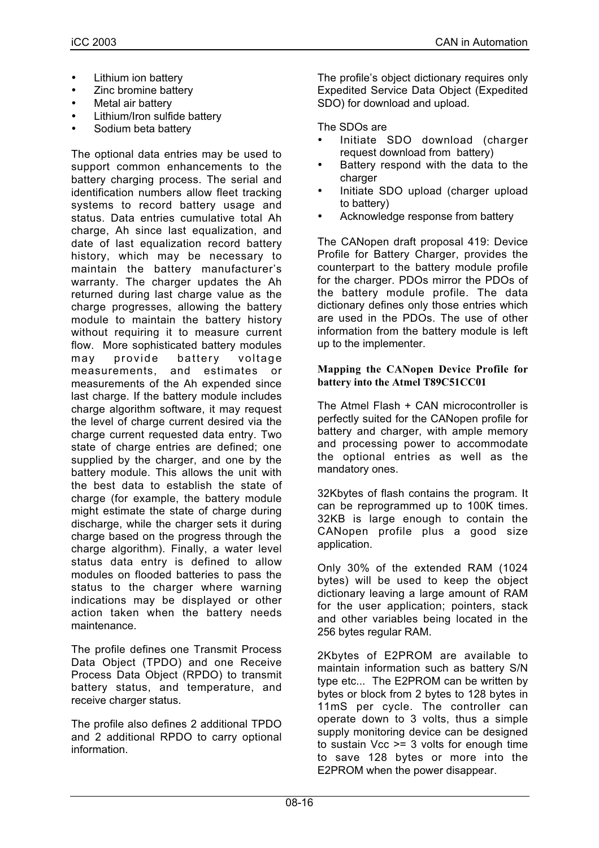- Lithium ion battery
- Zinc bromine battery
- Metal air battery
- Lithium/Iron sulfide battery
- Sodium beta battery

The optional data entries may be used to support common enhancements to the battery charging process. The serial and identification numbers allow fleet tracking systems to record battery usage and status. Data entries cumulative total Ah charge, Ah since last equalization, and date of last equalization record battery history, which may be necessary to maintain the battery manufacturer's warranty. The charger updates the Ah returned during last charge value as the charge progresses, allowing the battery module to maintain the battery history without requiring it to measure current flow. More sophisticated battery modules may provide battery voltage measurements, and estimates or measurements of the Ah expended since last charge. If the battery module includes charge algorithm software, it may request the level of charge current desired via the charge current requested data entry. Two state of charge entries are defined; one supplied by the charger, and one by the battery module. This allows the unit with the best data to establish the state of charge (for example, the battery module might estimate the state of charge during discharge, while the charger sets it during charge based on the progress through the charge algorithm). Finally, a water level status data entry is defined to allow modules on flooded batteries to pass the status to the charger where warning indications may be displayed or other action taken when the battery needs maintenance.

The profile defines one Transmit Process Data Object (TPDO) and one Receive Process Data Object (RPDO) to transmit battery status, and temperature, and receive charger status.

The profile also defines 2 additional TPDO and 2 additional RPDO to carry optional information.

The profile's object dictionary requires only Expedited Service Data Object (Expedited SDO) for download and upload.

# The SDOs are

- Initiate SDO download (charger request download from battery)
- Battery respond with the data to the charger
- Initiate SDO upload (charger upload to battery)
- Acknowledge response from battery

The CANopen draft proposal 419: Device Profile for Battery Charger, provides the counterpart to the battery module profile for the charger. PDOs mirror the PDOs of the battery module profile. The data dictionary defines only those entries which are used in the PDOs. The use of other information from the battery module is left up to the implementer.

#### **Mapping the CANopen Device Profile for battery into the Atmel T89C51CC01**

The Atmel Flash + CAN microcontroller is perfectly suited for the CANopen profile for battery and charger, with ample memory and processing power to accommodate the optional entries as well as the mandatory ones.

32Kbytes of flash contains the program. It can be reprogrammed up to 100K times. 32KB is large enough to contain the CANopen profile plus a good size application.

Only 30% of the extended RAM (1024 bytes) will be used to keep the object dictionary leaving a large amount of RAM for the user application; pointers, stack and other variables being located in the 256 bytes regular RAM.

2Kbytes of E2PROM are available to maintain information such as battery S/N type etc... The E2PROM can be written by bytes or block from 2 bytes to 128 bytes in 11mS per cycle. The controller can operate down to 3 volts, thus a simple supply monitoring device can be designed to sustain Vcc >= 3 volts for enough time to save 128 bytes or more into the E2PROM when the power disappear.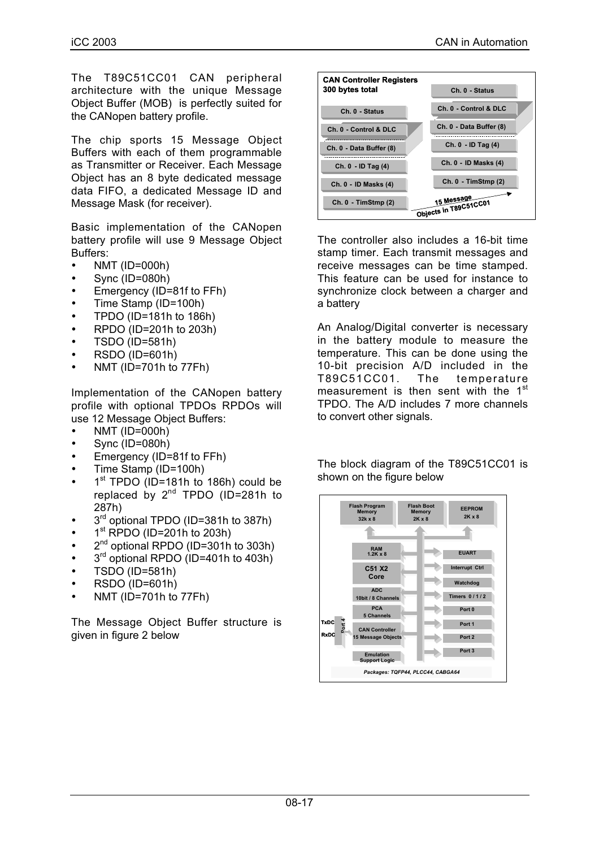The T89C51CC01 CAN peripheral architecture with the unique Message Object Buffer (MOB) is perfectly suited for the CANopen battery profile.

The chip sports 15 Message Object Buffers with each of them programmable as Transmitter or Receiver. Each Message Object has an 8 byte dedicated message data FIFO, a dedicated Message ID and Message Mask (for receiver).

Basic implementation of the CANopen battery profile will use 9 Message Object Buffers:

- NMT (ID=000h)
- Sync (ID=080h)
- Emergency (ID=81f to FFh)
- Time Stamp (ID=100h)
- TPDO (ID=181h to 186h)
- RPDO (ID=201h to 203h)
- TSDO (ID=581h)
- RSDO (ID=601h)
- NMT (ID=701h to 77Fh)

Implementation of the CANopen battery profile with optional TPDOs RPDOs will use 12 Message Object Buffers:

- NMT (ID=000h)
- Sync (ID=080h)
- Emergency (ID=81f to FFh)
- Time Stamp (ID=100h)
- 1<sup>st</sup> TPDO (ID=181h to 186h) could be replaced by  $2^{nd}$  TPDO (ID=281h to 287h)
- 3<sup>rd</sup> optional TPDO (ID=381h to 387h)
- $\cdot$  1<sup>st</sup> RPDO (ID=201h to 203h)
- 2<sup>nd</sup> optional RPDO (ID=301h to 303h)
- $\bullet$  3<sup>rd</sup> optional RPDO (ID=401h to 403h)
- TSDO (ID=581h)
- RSDO (ID=601h)
- NMT (ID=701h to 77Fh)

The Message Object Buffer structure is given in figure 2 below



The controller also includes a 16-bit time stamp timer. Each transmit messages and receive messages can be time stamped. This feature can be used for instance to synchronize clock between a charger and a battery

An Analog/Digital converter is necessary in the battery module to measure the temperature. This can be done using the 10-bit precision A/D included in the T89C51CC01. The temperature measurement is then sent with the 1<sup>st</sup> TPDO. The A/D includes 7 more channels to convert other signals.

The block diagram of the T89C51CC01 is shown on the figure below

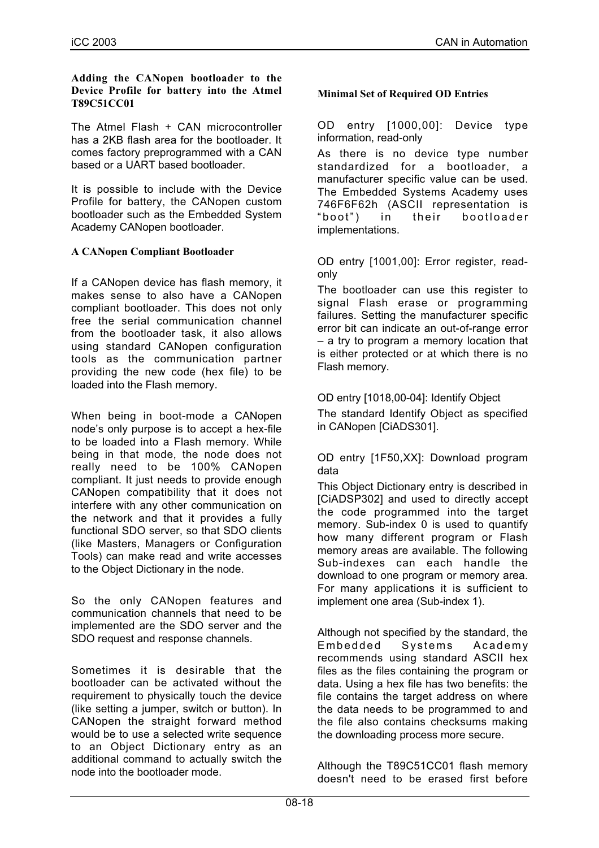#### **Adding the CANopen bootloader to the Device Profile for battery into the Atmel T89C51CC01**

The Atmel Flash + CAN microcontroller has a 2KB flash area for the bootloader. It comes factory preprogrammed with a CAN based or a UART based bootloader.

It is possible to include with the Device Profile for battery, the CANopen custom bootloader such as the Embedded System Academy CANopen bootloader.

## **A CANopen Compliant Bootloader**

If a CANopen device has flash memory, it makes sense to also have a CANopen compliant bootloader. This does not only free the serial communication channel from the bootloader task, it also allows using standard CANopen configuration tools as the communication partner providing the new code (hex file) to be loaded into the Flash memory.

When being in boot-mode a CANopen node's only purpose is to accept a hex-file to be loaded into a Flash memory. While being in that mode, the node does not really need to be 100% CANopen compliant. It just needs to provide enough CANopen compatibility that it does not interfere with any other communication on the network and that it provides a fully functional SDO server, so that SDO clients (like Masters, Managers or Configuration Tools) can make read and write accesses to the Object Dictionary in the node.

So the only CANopen features and communication channels that need to be implemented are the SDO server and the SDO request and response channels.

Sometimes it is desirable that the bootloader can be activated without the requirement to physically touch the device (like setting a jumper, switch or button). In CANopen the straight forward method would be to use a selected write sequence to an Object Dictionary entry as an additional command to actually switch the node into the bootloader mode.

## **Minimal Set of Required OD Entries**

OD entry [1000,00]: Device type information, read-only

As there is no device type number standardized for a bootloader, a manufacturer specific value can be used. The Embedded Systems Academy uses 746F6F62h (ASCII representation is "boot") in their bootloader implementations.

OD entry [1001,00]: Error register, readonly

The bootloader can use this register to signal Flash erase or programming failures. Setting the manufacturer specific error bit can indicate an out-of-range error – a try to program a memory location that is either protected or at which there is no Flash memory.

## OD entry [1018,00-04]: Identify Object

The standard Identify Object as specified in CANopen [CiADS301].

OD entry [1F50,XX]: Download program data

This Object Dictionary entry is described in [CiADSP302] and used to directly accept the code programmed into the target memory. Sub-index 0 is used to quantify how many different program or Flash memory areas are available. The following Sub-indexes can each handle the download to one program or memory area. For many applications it is sufficient to implement one area (Sub-index 1).

Although not specified by the standard, the Embedded Systems Academy recommends using standard ASCII hex files as the files containing the program or data. Using a hex file has two benefits: the file contains the target address on where the data needs to be programmed to and the file also contains checksums making the downloading process more secure.

Although the T89C51CC01 flash memory doesn't need to be erased first before